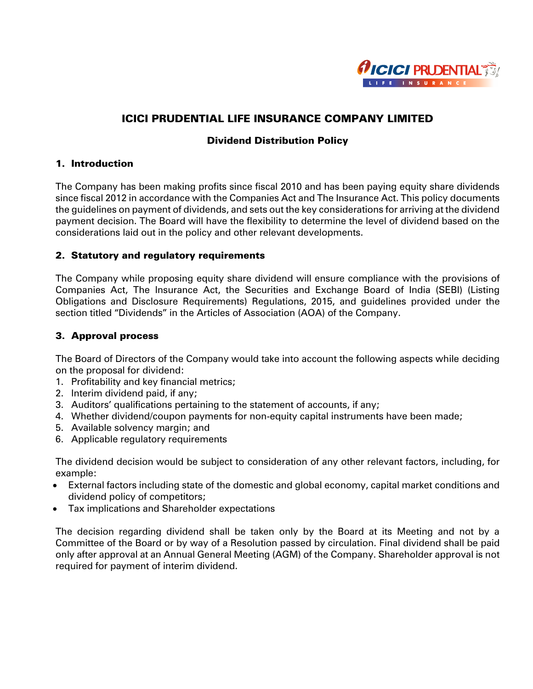

# ICICI PRUDENTIAL LIFE INSURANCE COMPANY LIMITED

## Dividend Distribution Policy

### 1. Introduction

The Company has been making profits since fiscal 2010 and has been paying equity share dividends since fiscal 2012 in accordance with the Companies Act and The Insurance Act. This policy documents the guidelines on payment of dividends, and sets out the key considerations for arriving at the dividend payment decision. The Board will have the flexibility to determine the level of dividend based on the considerations laid out in the policy and other relevant developments.

### 2. Statutory and regulatory requirements

The Company while proposing equity share dividend will ensure compliance with the provisions of Companies Act, The Insurance Act, the Securities and Exchange Board of India (SEBI) (Listing Obligations and Disclosure Requirements) Regulations, 2015, and guidelines provided under the section titled "Dividends" in the Articles of Association (AOA) of the Company.

## 3. Approval process

The Board of Directors of the Company would take into account the following aspects while deciding on the proposal for dividend:

- 1. Profitability and key financial metrics;
- 2. Interim dividend paid, if any;
- 3. Auditors' qualifications pertaining to the statement of accounts, if any;
- 4. Whether dividend/coupon payments for non-equity capital instruments have been made;
- 5. Available solvency margin; and
- 6. Applicable regulatory requirements

The dividend decision would be subject to consideration of any other relevant factors, including, for example:

- External factors including state of the domestic and global economy, capital market conditions and dividend policy of competitors;
- Tax implications and Shareholder expectations

The decision regarding dividend shall be taken only by the Board at its Meeting and not by a Committee of the Board or by way of a Resolution passed by circulation. Final dividend shall be paid only after approval at an Annual General Meeting (AGM) of the Company. Shareholder approval is not required for payment of interim dividend.